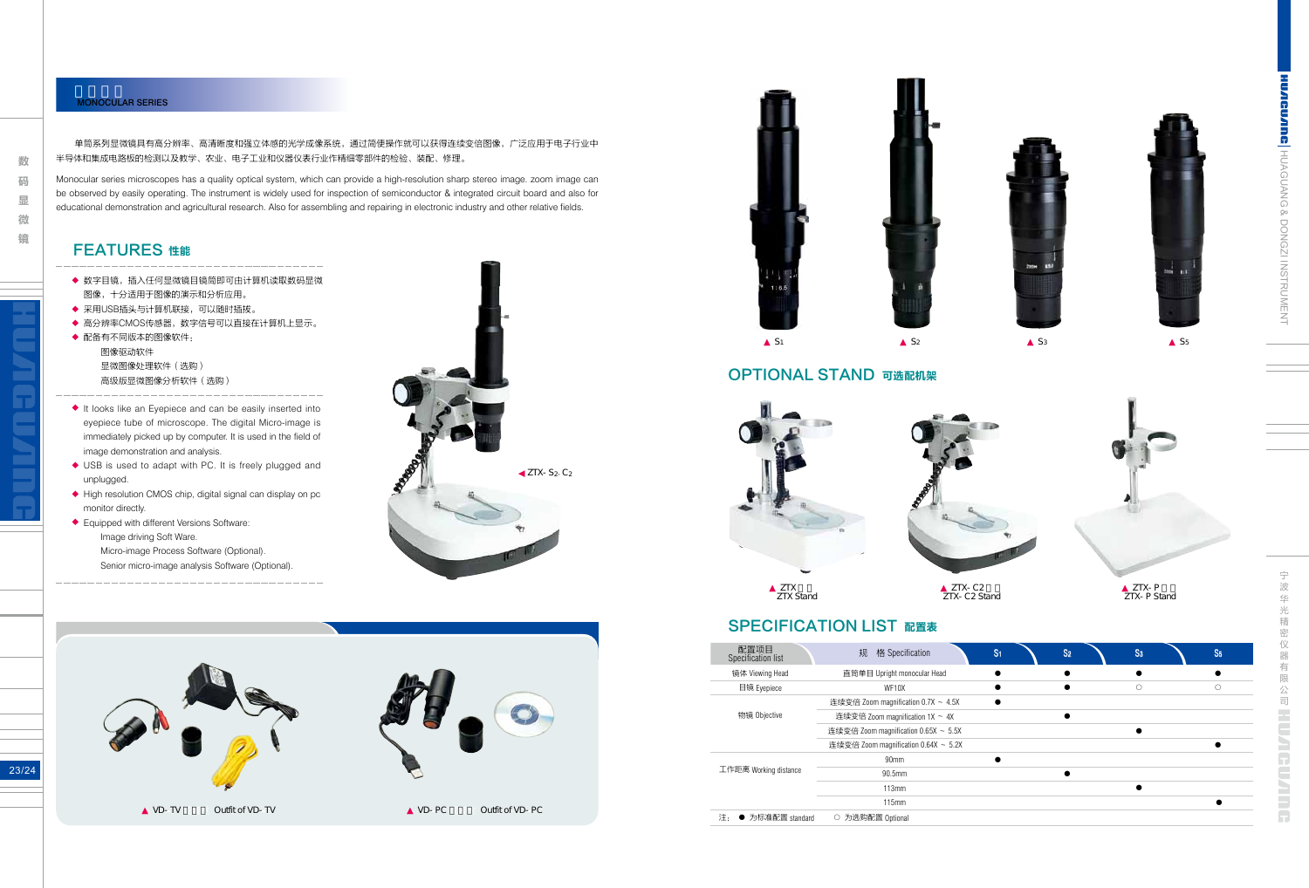HUAGUANG & DONGZI INSTRUMENT

**CUANG H**UAGUANG & DONGZI INSTRUMENT

23/24

### MONOCULAR SERIES

数 **的复数形式 医心包膜炎 医心包膜炎 医心包膜炎 医心包膜炎 医心包膜炎 医心包膜炎 医心包膜炎 医心包膜炎 医心包膜炎 医心包膜炎 医心包膜炎 医心包膜炎 医心包膜炎 医心包膜炎 医心包膜炎 医心包膜炎 医心包膜炎 医心包膜炎 医心包膜炎 医心包膜炎 医心包膜炎 医心包膜炎 医心包膜炎 医心包膜炎 医心包膜炎** 码 显 微 镜

单筒系列显微镜具有高分辨率、高清晰度和强立体感的光学成像系统,通过简便操作就可以获得连续变倍图像,广泛应用于电子行业中 半导体和集成电路板的检测以及教学、农业、电子工业和仪器仪表行业作精细零部件的检验、装配、修理。

Monocular series microscopes has a quality optical system, which can provide a high-resolution sharp stereo image. zoom image can be observed by easily operating. The instrument is widely used for inspection of semiconductor & integrated circuit board and also for educational demonstration and agricultural research. Also for assembling and repairing in electronic industry and other relative fields.

> ZTX-C2 ZTX-C2 Stand

## **SPECIFICATION LIST 配置表**

ZTX-P ZTX-P Stand

 $\frac{1}{\sqrt{2}}$ 宁波华光精密仪器有限公司 波华 - 光精密 仪 器 有 限 公司 Ë NGU NILL G

|  | 配置项目<br>Specification list | 格 Specification<br>规                 |  |  |
|--|----------------------------|--------------------------------------|--|--|
|  | 镜体 Viewing Head            | 直筒单目 Upright monocular Head          |  |  |
|  | 目镜 Eyepiece                | WF10X                                |  |  |
|  |                            | 连续变倍 Zoom magnification 0.7X ~ 4.5X  |  |  |
|  | 物镜 Objective               | 连续变倍 Zoom magnification 1X ~ 4X      |  |  |
|  |                            | 连续变倍 Zoom magnification 0.65X ~ 5.5X |  |  |
|  |                            | 连续变倍 Zoom magnification 0.64X ~ 5.2X |  |  |
|  | 工作距离 Working distance      | 90 <sub>mm</sub>                     |  |  |
|  |                            | 90.5mm                               |  |  |
|  |                            | 113mm                                |  |  |
|  |                            | 115mm                                |  |  |
|  | 为标准配置 standard<br>沣.       | 为选购配置 Optional                       |  |  |
|  |                            |                                      |  |  |









 $S<sub>5</sub>$ 





ZTX Stand



- 数字目镜,插入任何显微镜目镜筒即可由计算机读取数码显微 图像,十分适用于图像的演示和分析应用。 ◆<br>◆<br>◆
- 采用USB插头与计算机联接,可以随时插拔。
- 高分辨率CMOS传感器,数字信号可以直接在计算机上显示。
- 配备有不同版本的图像软件: 图像驱动软件 显微图像处理软件(选购) 高级版显微图像分析软件(选购)
- It looks like an Eyepiece and can be easily inserted into eyepiece tube of microscope. The digital Micro-image is immediately picked up by computer. It is used in the field of image demonstration and analysis. ◆ → ◆ ◆ ◆ ◆
- ◆ USB is used to adapt with PC. It is freely plugged and unplugged.
- ◆ High resolution CMOS chip, digital signal can display on pc monitor directly.
- Equipped with different Versions Software: Image driving Soft Ware. Micro-image Process Software (Optional). Senior micro-image analysis Software (Optional).

### OPTIONAL STAND 可选配机架

### FEATURES 性能